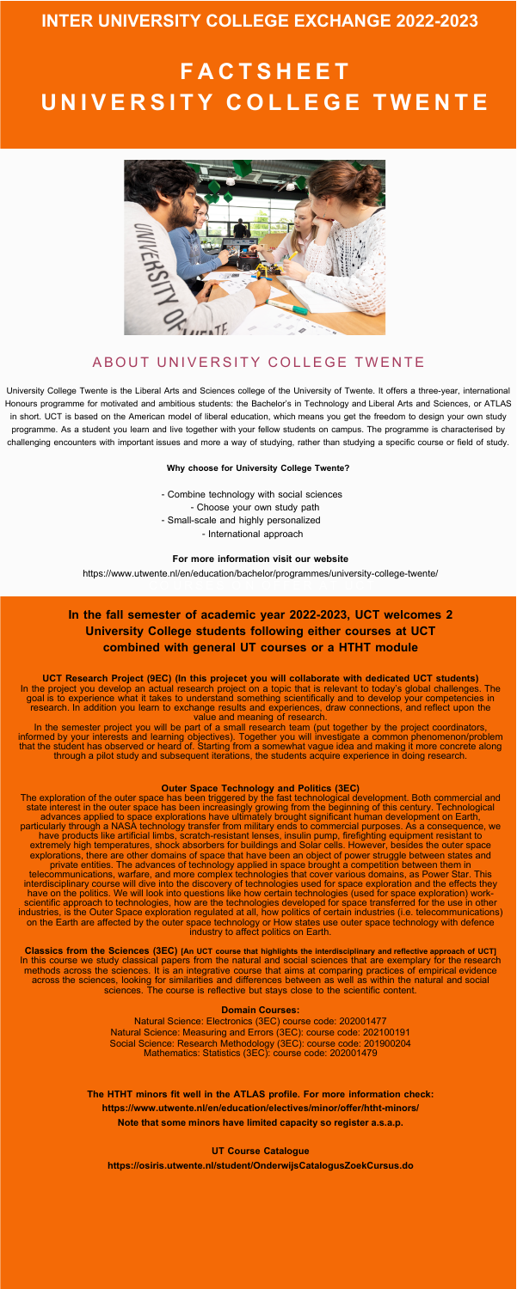- Combine technology with social sciences - Choose your own study path - Small-scale and highly personalized - International approach

University College Twente is the Liberal Arts and Sciences college of the University of Twente. It offers a three-year, international [Honours](https://www.utwente.nl/en/honours/) programme for motivated and ambitious students: the Bachelor's in Technology and Liberal Arts and Sciences, or ATLAS in short. UCT is based on the American model of liberal education, which means you get the freedom to design your own study programme. As a student you learn and live together with your fellow students on campus. The programme is characterised by challenging encounters with important issues and more a way of studying, rather than studying a specific course or field of study.

#### **Why choose for University College Twente?**

# **INTER UNIVERSITY COLLEGE EXCHANGE 2022-2023**

#### **For more information visit our website**

<https://www.utwente.nl/en/education/bachelor/programmes/university-college-twente/>

### **In the fall semester of academic year 2022-2023, UCT welcomes 2 University College students following either courses at UCT combined with general UT courses or a HTHT module**

**UCT Research Project (9EC) (In this projecet you will collaborate with dedicated UCT students)** In the project you develop an actual research project on a topic that is relevant to today's global challenges. The goal is to experience what it takes to understand something scientifically and to develop your competencies in research. In addition you learn to exchange results and experiences, draw connections, and reflect upon the value and meaning of research.

In the semester project you will be part of a small research team (put together by the project coordinators, informed by your interests and learning objectives). Together you will investigate a common phenomenon/problem that the student has observed or heard of. Starting from a somewhat vague idea and making it more concrete along through a pilot study and subsequent iterations, the students acquire experience in doing research.

#### **Outer Space Technology and Politics (3EC)**

The exploration of the outer space has been triggered by the fast technological development. Both commercial and state interest in the outer space has been increasingly growing from the beginning of this century. Technological advances applied to space explorations have ultimately brought significant human development on Earth, particularly through a NASA technology transfer from military ends to commercial purposes. As a consequence, we have products like artificial limbs, scratch-resistant lenses, insulin pump, firefighting equipment resistant to extremely high temperatures, shock absorbers for buildings and Solar cells. However, besides the outer space explorations, there are other domains of space that have been an object of power struggle between states and private entities. The advances of technology applied in space brought a competition between them in telecommunications, warfare, and more complex technologies that cover various domains, as Power Star. This interdisciplinary course will dive into the discovery of technologies used for space exploration and the effects they have on the politics. We will look into questions like how certain technologies (used for space exploration) workscientific approach to technologies, how are the technologies developed for space transferred for the use in other industries, is the Outer Space exploration regulated at all, how politics of certain industries (i.e. telecommunications) on the Earth are affected by the outer space technology or How states use outer space technology with defence industry to affect politics on Earth.

**Classics from the Sciences (3EC) [An UCT course that highlights the interdisciplinary and reflective approach of UCT]** In this course we study classical papers from the natural and social sciences that are exemplary for the research methods across the sciences. It is an integrative course that aims at comparing practices of empirical evidence across the sciences, looking for similarities and differences between as well as within the natural and social sciences. The course is reflective but stays close to the scientific content.

#### **Domain Courses:**

Natural Science: Electronics (3EC) course code: 202001477 Natural Science: Measuring and Errors (3EC): course code: 202100191 Social Science: Research Methodology (3EC): course code: 201900204 Mathematics: Statistics (3EC): course code: 202001479

**The HTHT minors fit well in the ATLAS profile. For more information check: <https://www.utwente.nl/en/education/electives/minor/offer/htht-minors/> Note that some minors have limited capacity so register a.s.a.p.**

**UT Course Catalogue**

**<https://osiris.utwente.nl/student/OnderwijsCatalogusZoekCursus.do>**

# **F A C T S H E E T U N I V E R S I T Y C O L L E G E T WE N T E**



### A BOUT UNIVERSITY COLLEGE TWENTE